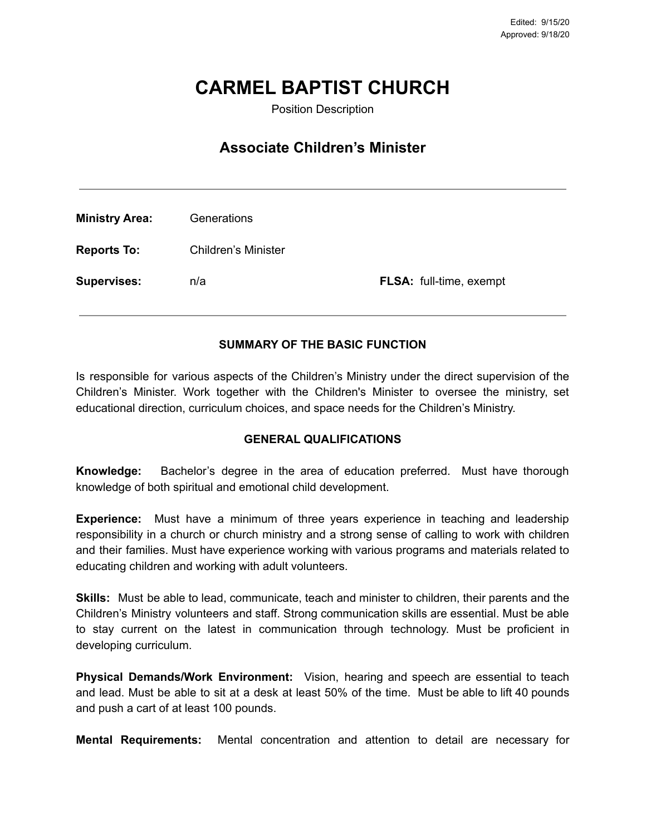# **CARMEL BAPTIST CHURCH**

Position Description

# **Associate Children's Minister**

| <b>Ministry Area:</b> | Generations         |                                |
|-----------------------|---------------------|--------------------------------|
| <b>Reports To:</b>    | Children's Minister |                                |
| <b>Supervises:</b>    | n/a                 | <b>FLSA:</b> full-time, exempt |

### **SUMMARY OF THE BASIC FUNCTION**

Is responsible for various aspects of the Children's Ministry under the direct supervision of the Children's Minister. Work together with the Children's Minister to oversee the ministry, set educational direction, curriculum choices, and space needs for the Children's Ministry.

#### **GENERAL QUALIFICATIONS**

**Knowledge:** Bachelor's degree in the area of education preferred. Must have thorough knowledge of both spiritual and emotional child development.

**Experience:** Must have a minimum of three years experience in teaching and leadership responsibility in a church or church ministry and a strong sense of calling to work with children and their families. Must have experience working with various programs and materials related to educating children and working with adult volunteers.

**Skills:** Must be able to lead, communicate, teach and minister to children, their parents and the Children's Ministry volunteers and staff. Strong communication skills are essential. Must be able to stay current on the latest in communication through technology. Must be proficient in developing curriculum.

**Physical Demands/Work Environment:** Vision, hearing and speech are essential to teach and lead. Must be able to sit at a desk at least 50% of the time. Must be able to lift 40 pounds and push a cart of at least 100 pounds.

**Mental Requirements:** Mental concentration and attention to detail are necessary for